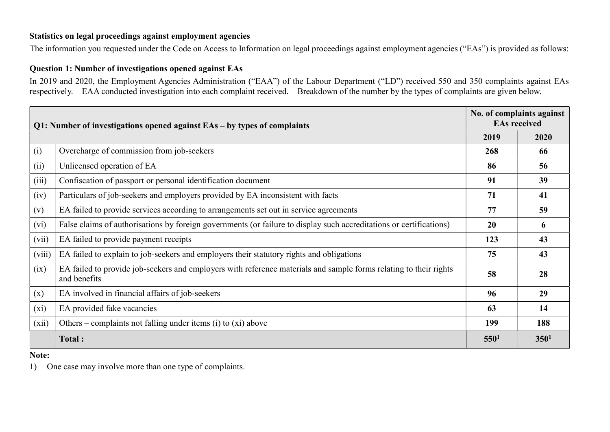## Statistics on legal proceedings against employment agencies

The information you requested under the Code on Access to Information on legal proceedings against employment agencies ("EAs") is provided as follows:

# Question 1: Number of investigations opened against EAs

In 2019 and 2020, the Employment Agencies Administration ("EAA") of the Labour Department ("LD") received 550 and 350 complaints against EAs respectively. EAA conducted investigation into each complaint received. Breakdown of the number by the types of complaints are given below.

| Q1: Number of investigations opened against EAs – by types of complaints |                                                                                                                                   | No. of complaints against<br><b>EAs received</b> |                  |
|--------------------------------------------------------------------------|-----------------------------------------------------------------------------------------------------------------------------------|--------------------------------------------------|------------------|
|                                                                          |                                                                                                                                   | 2019                                             | 2020             |
| (i)                                                                      | Overcharge of commission from job-seekers                                                                                         | 268                                              | 66               |
| (ii)                                                                     | Unlicensed operation of EA                                                                                                        | 86                                               | 56               |
| (iii)                                                                    | Confiscation of passport or personal identification document                                                                      | 91                                               | 39               |
| (iv)                                                                     | Particulars of job-seekers and employers provided by EA inconsistent with facts                                                   | 71                                               | 41               |
| (v)                                                                      | EA failed to provide services according to arrangements set out in service agreements                                             | 77                                               | 59               |
| (vi)                                                                     | False claims of authorisations by foreign governments (or failure to display such accreditations or certifications)               | 20                                               | 6                |
| (vii)                                                                    | EA failed to provide payment receipts                                                                                             | 123                                              | 43               |
| (viii)                                                                   | EA failed to explain to job-seekers and employers their statutory rights and obligations                                          | 75                                               | 43               |
| (ix)                                                                     | EA failed to provide job-seekers and employers with reference materials and sample forms relating to their rights<br>and benefits | 58                                               | 28               |
| (x)                                                                      | EA involved in financial affairs of job-seekers                                                                                   | 96                                               | 29               |
| $(x_i)$                                                                  | EA provided fake vacancies                                                                                                        | 63                                               | 14               |
| (xii)                                                                    | Others – complaints not falling under items (i) to $(x_i)$ above                                                                  | 199                                              | 188              |
|                                                                          | Total:                                                                                                                            | 550 <sup>1</sup>                                 | 350 <sup>1</sup> |

#### Note:

1) One case may involve more than one type of complaints.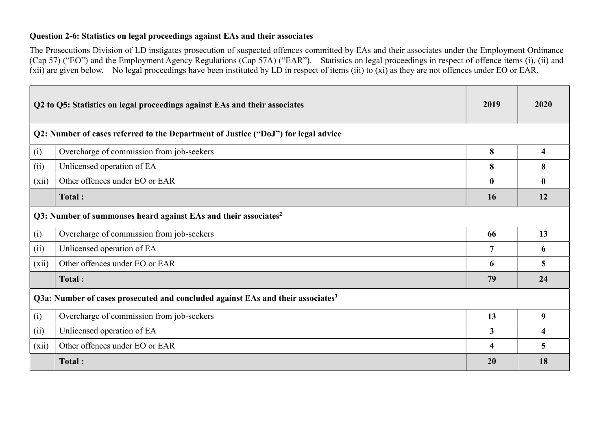### Question 2-6: Statistics on legal proceedings against EAs and their associates

The Prosecutions Division of LD instigates prosecution of suspected offences committed by EAs and their associates under the Employment Ordinance (Cap 57) ("EO") and the Employment Agency Regulations (Cap 57A) ("EAR"). Statistics on legal proceedings in respect of offence items (i), (ii) and (xii) are given below. No legal proceedings have been instituted by LD in respect of items (iii) to (xi) as they are not offences under EO or EAR.

|                                                                             | Q2 to Q5: Statistics on legal proceedings against EAs and their associates                  | 2019         | 2020 |
|-----------------------------------------------------------------------------|---------------------------------------------------------------------------------------------|--------------|------|
|                                                                             | Q2: Number of cases referred to the Department of Justice ("DoJ") for legal advice          |              |      |
| (i)                                                                         | Overcharge of commission from job-seekers                                                   | 8            | 4    |
| (ii)                                                                        | Unlicensed operation of EA                                                                  | 8            | 8    |
| (xii)                                                                       | Other offences under EO or EAR                                                              | $\mathbf{0}$ | 0    |
|                                                                             | Total:                                                                                      | 16           | 12   |
| Q3: Number of summonses heard against EAs and their associates <sup>2</sup> |                                                                                             |              |      |
| (i)                                                                         | Overcharge of commission from job-seekers                                                   | 66           | 13   |
| (ii)                                                                        | Unlicensed operation of EA                                                                  | 7            | 6    |
| (xii)                                                                       | Other offences under EO or EAR                                                              | 6            | 5    |
|                                                                             | Total:                                                                                      | 79           | 24   |
|                                                                             | Q3a: Number of cases prosecuted and concluded against EAs and their associates <sup>3</sup> |              |      |
| (i)                                                                         | Overcharge of commission from job-seekers                                                   | 13           | 9    |
| (ii)                                                                        | Unlicensed operation of EA                                                                  | 3            | 4    |
| (xii)                                                                       | Other offences under EO or EAR                                                              | 4            | 5    |
|                                                                             | Total:                                                                                      | 20           | 18   |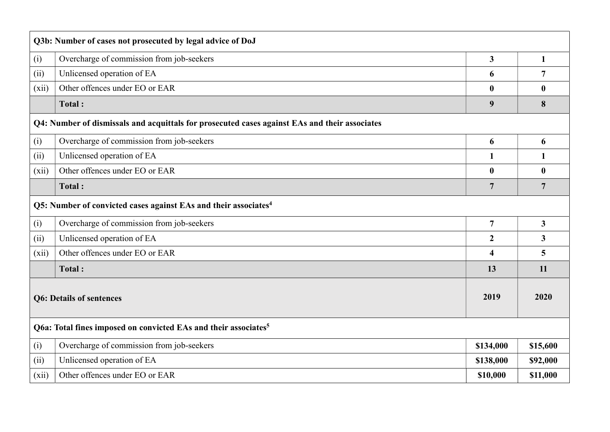| Q3b: Number of cases not prosecuted by legal advice of DoJ                  |                                                                                               |                         |                         |  |
|-----------------------------------------------------------------------------|-----------------------------------------------------------------------------------------------|-------------------------|-------------------------|--|
| (i)                                                                         | Overcharge of commission from job-seekers                                                     | $\overline{\mathbf{3}}$ | $\mathbf{1}$            |  |
| (ii)                                                                        | Unlicensed operation of EA                                                                    | 6                       | $\overline{7}$          |  |
| (xii)                                                                       | Other offences under EO or EAR                                                                | $\bf{0}$                | $\boldsymbol{0}$        |  |
|                                                                             | <b>Total:</b>                                                                                 | 9                       | 8                       |  |
|                                                                             | Q4: Number of dismissals and acquittals for prosecuted cases against EAs and their associates |                         |                         |  |
| (i)                                                                         | Overcharge of commission from job-seekers                                                     | 6                       | 6                       |  |
| (ii)                                                                        | Unlicensed operation of EA                                                                    | $\mathbf{1}$            | 1                       |  |
| (xii)                                                                       | Other offences under EO or EAR                                                                | $\bf{0}$                | $\boldsymbol{0}$        |  |
|                                                                             | <b>Total:</b>                                                                                 | $\overline{7}$          | $\overline{7}$          |  |
| Q5: Number of convicted cases against EAs and their associates <sup>4</sup> |                                                                                               |                         |                         |  |
| (i)                                                                         | Overcharge of commission from job-seekers                                                     | $\overline{7}$          | 3 <sup>1</sup>          |  |
| (ii)                                                                        | Unlicensed operation of EA                                                                    | $\boldsymbol{2}$        | $\overline{\mathbf{3}}$ |  |
| (xii)                                                                       | Other offences under EO or EAR                                                                | $\overline{\mathbf{4}}$ | 5                       |  |
|                                                                             | Total:                                                                                        | 13                      | 11                      |  |
| <b>Q6: Details of sentences</b>                                             |                                                                                               | 2019                    | 2020                    |  |
| Q6a: Total fines imposed on convicted EAs and their associates <sup>5</sup> |                                                                                               |                         |                         |  |
| (i)                                                                         | Overcharge of commission from job-seekers                                                     | \$134,000               | \$15,600                |  |
| (ii)                                                                        | Unlicensed operation of EA                                                                    | \$138,000               | \$92,000                |  |
| (xii)                                                                       | Other offences under EO or EAR                                                                | \$10,000                | \$11,000                |  |